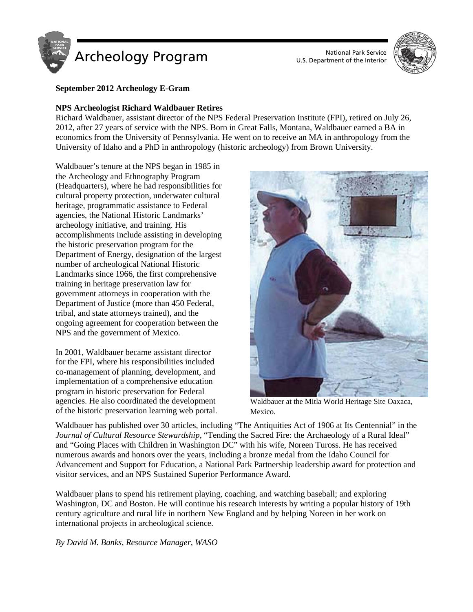

U.S. Department of the Interior



# **September 2012 Archeology E-Gram**

# **NPS Archeologist Richard Waldbauer Retires**

Richard Waldbauer, assistant director of the NPS Federal Preservation Institute (FPI), retired on July 26, 2012, after 27 years of service with the NPS. Born in Great Falls, Montana, Waldbauer earned a BA in economics from the University of Pennsylvania. He went on to receive an MA in anthropology from the University of Idaho and a PhD in anthropology (historic archeology) from Brown University.

Waldbauer's tenure at the NPS began in 1985 in the Archeology and Ethnography Program (Headquarters), where he had responsibilities for cultural property protection, underwater cultural heritage, programmatic assistance to Federal agencies, the National Historic Landmarks' archeology initiative, and training. His accomplishments include assisting in developing the historic preservation program for the Department of Energy, designation of the largest number of archeological National Historic Landmarks since 1966, the first comprehensive training in heritage preservation law for government attorneys in cooperation with the Department of Justice (more than 450 Federal, tribal, and state attorneys trained), and the ongoing agreement for cooperation between the NPS and the government of Mexico.

In 2001, Waldbauer became assistant director for the FPI, where his responsibilities included co-management of planning, development, and implementation of a comprehensive education program in historic preservation for Federal agencies. He also coordinated the development of the historic preservation learning web portal.



Waldbauer at the Mitla World Heritage Site Oaxaca, Mexico.

Waldbauer has published over 30 articles, including "The Antiquities Act of 1906 at Its Centennial" in the *Journal of Cultural Resource Stewardship*, "Tending the Sacred Fire: the Archaeology of a Rural Ideal" and "Going Places with Children in Washington DC" with his wife, Noreen Tuross. He has received numerous awards and honors over the years, including a bronze medal from the Idaho Council for Advancement and Support for Education, a National Park Partnership leadership award for protection and visitor services, and an NPS Sustained Superior Performance Award.

Waldbauer plans to spend his retirement playing, coaching, and watching baseball; and exploring Washington, DC and Boston. He will continue his research interests by writing a popular history of 19th century agriculture and rural life in northern New England and by helping Noreen in her work on international projects in archeological science.

*By David M. Banks, Resource Manager, WASO*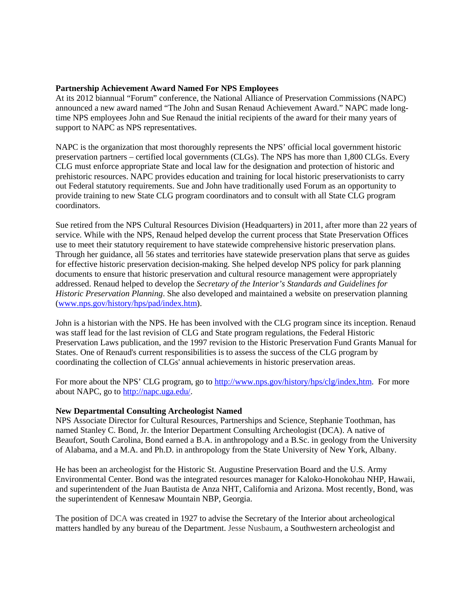### **Partnership Achievement Award Named For NPS Employees**

At its 2012 biannual "Forum" conference, the National Alliance of Preservation Commissions (NAPC) announced a new award named "The John and Susan Renaud Achievement Award." NAPC made longtime NPS employees John and Sue Renaud the initial recipients of the award for their many years of support to NAPC as NPS representatives.

NAPC is the organization that most thoroughly represents the NPS' official local government historic preservation partners – certified local governments (CLGs). The NPS has more than 1,800 CLGs. Every CLG must enforce appropriate State and local law for the designation and protection of historic and prehistoric resources. NAPC provides education and training for local historic preservationists to carry out Federal statutory requirements. Sue and John have traditionally used Forum as an opportunity to provide training to new State CLG program coordinators and to consult with all State CLG program coordinators.

Sue retired from the NPS Cultural Resources Division (Headquarters) in 2011, after more than 22 years of service. While with the NPS, Renaud helped develop the current process that State Preservation Offices use to meet their statutory requirement to have statewide comprehensive historic preservation plans. Through her guidance, all 56 states and territories have statewide preservation plans that serve as guides for effective historic preservation decision-making. She helped develop NPS policy for park planning documents to ensure that historic preservation and cultural resource management were appropriately addressed. Renaud helped to develop the *Secretary of the Interior's Standards and Guidelines for Historic Preservation Planning*. She also developed and maintained a website on preservation planning [\(www.nps.gov/history/hps/pad/index.htm\)](http://www.nps.gov/history/hps/pad/index.htm).

John is a historian with the NPS. He has been involved with the CLG program since its inception. Renaud was staff lead for the last revision of CLG and State program regulations, the Federal Historic Preservation Laws publication, and the 1997 revision to the Historic Preservation Fund Grants Manual for States. One of Renaud's current responsibilities is to assess the success of the CLG program by coordinating the collection of CLGs' annual achievements in historic preservation areas.

For more about the NPS' CLG program, go to [http://www.nps.gov/history/hps/clg/index,htm.](http://www.nps.gov/history/hps/clg/index,htm) For more about NAPC, go to [http://napc.uga.edu/.](http://napc.uga.edu/)

#### **New Departmental Consulting Archeologist Named**

NPS Associate Director for Cultural Resources, Partnerships and Science, Stephanie Toothman, has named Stanley C. Bond, Jr. the Interior Department Consulting Archeologist (DCA). A native of Beaufort, South Carolina, Bond earned a B.A. in anthropology and a B.Sc. in geology from the University of Alabama, and a M.A. and Ph.D. in anthropology from the State University of New York, Albany.

He has been an archeologist for the Historic St. Augustine Preservation Board and the U.S. Army Environmental Center. Bond was the integrated resources manager for Kaloko-Honokohau NHP, Hawaii, and superintendent of the Juan Bautista de Anza NHT, California and Arizona. Most recently, Bond, was the superintendent of Kennesaw Mountain NBP, Georgia.

The position of DCA was created in 1927 to advise the Secretary of the Interior about archeological matters handled by any bureau of the Department. Jesse Nusbaum, a Southwestern archeologist and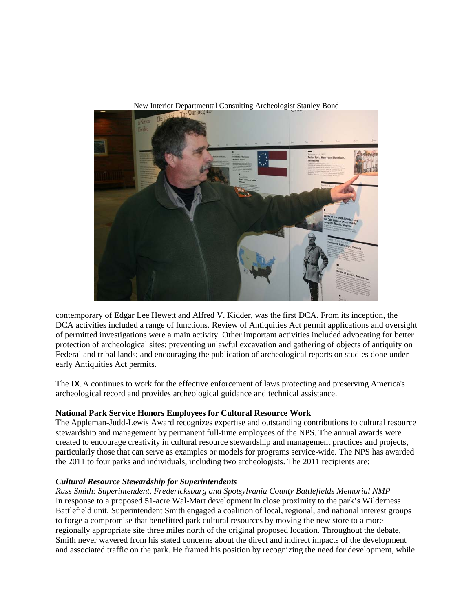

New Interior Departmental Consulting Archeologist Stanley Bond

contemporary of Edgar Lee Hewett and Alfred V. Kidder, was the first DCA. From its inception, the DCA activities included a range of functions. Review of Antiquities Act permit applications and oversight of permitted investigations were a main activity. Other important activities included advocating for better protection of archeological sites; preventing unlawful excavation and gathering of objects of antiquity on Federal and tribal lands; and encouraging the publication of archeological reports on studies done under early Antiquities Act permits.

The DCA continues to work for the effective enforcement of laws protecting and preserving America's archeological record and provides archeological guidance and technical assistance.

# **National Park Service Honors Employees for Cultural Resource Work**

The Appleman-Judd-Lewis Award recognizes expertise and outstanding contributions to cultural resource stewardship and management by permanent full-time employees of the NPS. The annual awards were created to encourage creativity in cultural resource stewardship and management practices and projects, particularly those that can serve as examples or models for programs service-wide. The NPS has awarded the 2011 to four parks and individuals, including two archeologists. The 2011 recipients are:

#### *Cultural Resource Stewardship for Superintendents*

*Russ Smith: Superintendent, Fredericksburg and Spotsylvania County Battlefields Memorial NMP* In response to a proposed 51-acre Wal-Mart development in close proximity to the park's Wilderness Battlefield unit, Superintendent Smith engaged a coalition of local, regional, and national interest groups to forge a compromise that benefitted park cultural resources by moving the new store to a more regionally appropriate site three miles north of the original proposed location. Throughout the debate, Smith never wavered from his stated concerns about the direct and indirect impacts of the development and associated traffic on the park. He framed his position by recognizing the need for development, while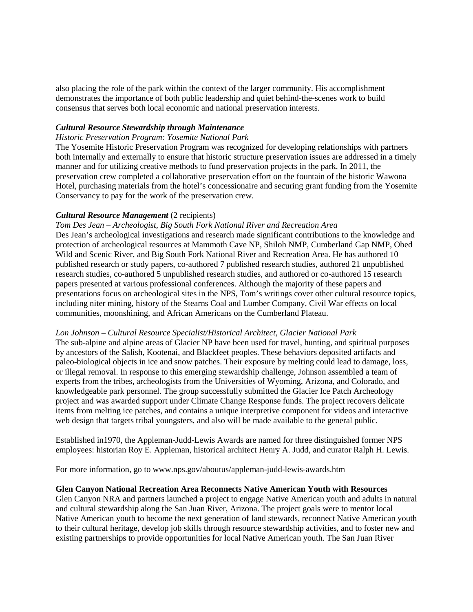also placing the role of the park within the context of the larger community. His accomplishment demonstrates the importance of both public leadership and quiet behind-the-scenes work to build consensus that serves both local economic and national preservation interests.

### *Cultural Resource Stewardship through Maintenance*

#### *Historic Preservation Program: Yosemite National Park*

The Yosemite Historic Preservation Program was recognized for developing relationships with partners both internally and externally to ensure that historic structure preservation issues are addressed in a timely manner and for utilizing creative methods to fund preservation projects in the park. In 2011, the preservation crew completed a collaborative preservation effort on the fountain of the historic Wawona Hotel, purchasing materials from the hotel's concessionaire and securing grant funding from the Yosemite Conservancy to pay for the work of the preservation crew.

# *Cultural Resource Management* (2 recipients)

#### *Tom Des Jean – Archeologist, Big South Fork National River and Recreation Area*

Des Jean's archeological investigations and research made significant contributions to the knowledge and protection of archeological resources at Mammoth Cave NP, Shiloh NMP, Cumberland Gap NMP, Obed Wild and Scenic River, and Big South Fork National River and Recreation Area. He has authored 10 published research or study papers, co-authored 7 published research studies, authored 21 unpublished research studies, co-authored 5 unpublished research studies, and authored or co-authored 15 research papers presented at various professional conferences. Although the majority of these papers and presentations focus on archeological sites in the NPS, Tom's writings cover other cultural resource topics, including niter mining, history of the Stearns Coal and Lumber Company, Civil War effects on local communities, moonshining, and African Americans on the Cumberland Plateau.

#### *Lon Johnson – Cultural Resource Specialist/Historical Architect, Glacier National Park*

The sub-alpine and alpine areas of Glacier NP have been used for travel, hunting, and spiritual purposes by ancestors of the Salish, Kootenai, and Blackfeet peoples. These behaviors deposited artifacts and paleo-biological objects in ice and snow patches. Their exposure by melting could lead to damage, loss, or illegal removal. In response to this emerging stewardship challenge, Johnson assembled a team of experts from the tribes, archeologists from the Universities of Wyoming, Arizona, and Colorado, and knowledgeable park personnel. The group successfully submitted the Glacier Ice Patch Archeology project and was awarded support under Climate Change Response funds. The project recovers delicate items from melting ice patches, and contains a unique interpretive component for videos and interactive web design that targets tribal youngsters, and also will be made available to the general public.

Established in1970, the Appleman-Judd-Lewis Awards are named for three distinguished former NPS employees: historian Roy E. Appleman, historical architect Henry A. Judd, and curator Ralph H. Lewis.

For more information, go to www.nps.gov/aboutus/appleman-judd-lewis-awards.htm

### **Glen Canyon National Recreation Area Reconnects Native American Youth with Resources**

Glen Canyon NRA and partners launched a project to engage Native American youth and adults in natural and cultural stewardship along the San Juan River, Arizona. The project goals were to mentor local Native American youth to become the next generation of land stewards, reconnect Native American youth to their cultural heritage, develop job skills through resource stewardship activities, and to foster new and existing partnerships to provide opportunities for local Native American youth. The San Juan River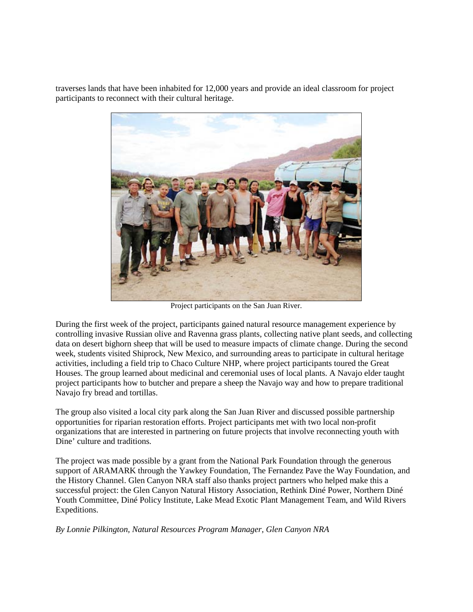traverses lands that have been inhabited for 12,000 years and provide an ideal classroom for project participants to reconnect with their cultural heritage.



Project participants on the San Juan River.

During the first week of the project, participants gained natural resource management experience by controlling invasive Russian olive and Ravenna grass plants, collecting native plant seeds, and collecting data on desert bighorn sheep that will be used to measure impacts of climate change. During the second week, students visited Shiprock, New Mexico, and surrounding areas to participate in cultural heritage activities, including a field trip to Chaco Culture NHP, where project participants toured the Great Houses. The group learned about medicinal and ceremonial uses of local plants. A Navajo elder taught project participants how to butcher and prepare a sheep the Navajo way and how to prepare traditional Navajo fry bread and tortillas.

The group also visited a local city park along the San Juan River and discussed possible partnership opportunities for riparian restoration efforts. Project participants met with two local non-profit organizations that are interested in partnering on future projects that involve reconnecting youth with Dine' culture and traditions.

The project was made possible by a grant from the National Park Foundation through the generous support of ARAMARK through the Yawkey Foundation, The Fernandez Pave the Way Foundation, and the History Channel. Glen Canyon NRA staff also thanks project partners who helped make this a successful project: the Glen Canyon Natural History Association, Rethink Diné Power, Northern Diné Youth Committee, Diné Policy Institute, Lake Mead Exotic Plant Management Team, and Wild Rivers Expeditions.

*By Lonnie Pilkington, Natural Resources Program Manager, Glen Canyon NRA*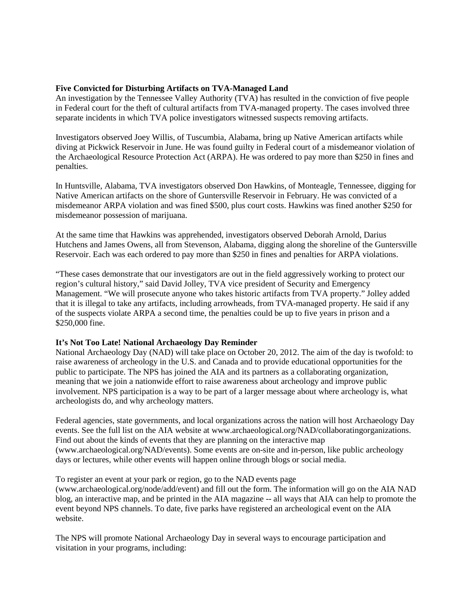#### **Five Convicted for Disturbing Artifacts on TVA-Managed Land**

An investigation by the Tennessee Valley Authority (TVA) has resulted in the conviction of five people in Federal court for the theft of cultural artifacts from TVA-managed property. The cases involved three separate incidents in which TVA police investigators witnessed suspects removing artifacts.

Investigators observed Joey Willis, of Tuscumbia, Alabama, bring up Native American artifacts while diving at Pickwick Reservoir in June. He was found guilty in Federal court of a misdemeanor violation of the Archaeological Resource Protection Act (ARPA). He was ordered to pay more than \$250 in fines and penalties.

In Huntsville, Alabama, TVA investigators observed Don Hawkins, of Monteagle, Tennessee, digging for Native American artifacts on the shore of Guntersville Reservoir in February. He was convicted of a misdemeanor ARPA violation and was fined \$500, plus court costs. Hawkins was fined another \$250 for misdemeanor possession of marijuana.

At the same time that Hawkins was apprehended, investigators observed Deborah Arnold, Darius Hutchens and James Owens, all from Stevenson, Alabama, digging along the shoreline of the Guntersville Reservoir. Each was each ordered to pay more than \$250 in fines and penalties for ARPA violations.

"These cases demonstrate that our investigators are out in the field aggressively working to protect our region's cultural history," said David Jolley, TVA vice president of Security and Emergency Management. "We will prosecute anyone who takes historic artifacts from TVA property." Jolley added that it is illegal to take any artifacts, including arrowheads, from TVA-managed property. He said if any of the suspects violate ARPA a second time, the penalties could be up to five years in prison and a \$250,000 fine.

# **It's Not Too Late! National Archaeology Day Reminder**

National Archaeology Day (NAD) will take place on October 20, 2012. The aim of the day is twofold: to raise awareness of archeology in the U.S. and Canada and to provide educational opportunities for the public to participate. The NPS has joined the AIA and its partners as a collaborating organization, meaning that we join a nationwide effort to raise awareness about archeology and improve public involvement. NPS participation is a way to be part of a larger message about where archeology is, what archeologists do, and why archeology matters.

Federal agencies, state governments, and local organizations across the nation will host Archaeology Day events. See the full list on the AIA website at www.archaeological.org/NAD/collaboratingorganizations. Find out about the kinds of events that they are planning on the interactive map (www.archaeological.org/NAD/events). Some events are on-site and in-person, like public archeology days or lectures, while other events will happen online through blogs or social media.

To register an event at your park or region, go to the NAD events page

(www.archaeological.org/node/add/event) and fill out the form. The information will go on the AIA NAD blog, an interactive map, and be printed in the AIA magazine -- all ways that AIA can help to promote the event beyond NPS channels. To date, five parks have registered an archeological event on the AIA website.

The NPS will promote National Archaeology Day in several ways to encourage participation and visitation in your programs, including: